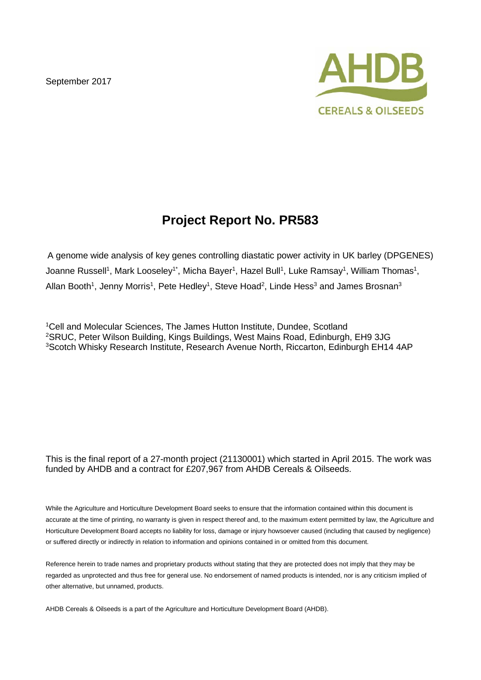September 2017



# **Project Report No. PR583**

A genome wide analysis of key genes controlling diastatic power activity in UK barley (DPGENES) Joanne Russell<sup>1</sup>, Mark Looseley<sup>1\*</sup>, Micha Bayer<sup>1</sup>, Hazel Bull<sup>1</sup>, Luke Ramsay<sup>1</sup>, William Thomas<sup>1</sup>, Allan Booth<sup>1</sup>, Jenny Morris<sup>1</sup>, Pete Hedley<sup>1</sup>, Steve Hoad<sup>2</sup>, Linde Hess<sup>3</sup> and James Brosnan<sup>3</sup>

<sup>1</sup>Cell and Molecular Sciences, The James Hutton Institute, Dundee, Scotland <sup>2</sup>SRUC, Peter Wilson Building, Kings Buildings, West Mains Road, Edinburgh, EH9 3JG <sup>3</sup>Scotch Whisky Research Institute, Research Avenue North, Riccarton, Edinburgh EH14 4AP

#### This is the final report of a 27-month project (21130001) which started in April 2015. The work was funded by AHDB and a contract for £207,967 from AHDB Cereals & Oilseeds.

While the Agriculture and Horticulture Development Board seeks to ensure that the information contained within this document is accurate at the time of printing, no warranty is given in respect thereof and, to the maximum extent permitted by law, the Agriculture and Horticulture Development Board accepts no liability for loss, damage or injury howsoever caused (including that caused by negligence) or suffered directly or indirectly in relation to information and opinions contained in or omitted from this document.

Reference herein to trade names and proprietary products without stating that they are protected does not imply that they may be regarded as unprotected and thus free for general use. No endorsement of named products is intended, nor is any criticism implied of other alternative, but unnamed, products.

AHDB Cereals & Oilseeds is a part of the Agriculture and Horticulture Development Board (AHDB).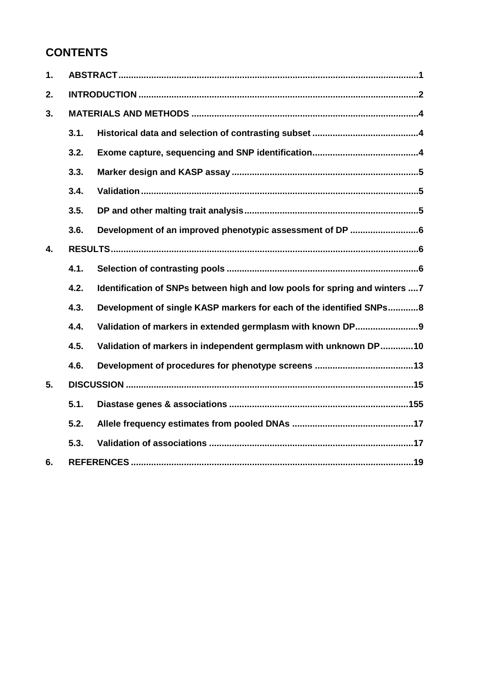# **CONTENTS**

| 1. |      |                                                                             |  |  |  |  |
|----|------|-----------------------------------------------------------------------------|--|--|--|--|
| 2. |      |                                                                             |  |  |  |  |
| 3. |      |                                                                             |  |  |  |  |
|    | 3.1. |                                                                             |  |  |  |  |
|    | 3.2. |                                                                             |  |  |  |  |
|    | 3.3. |                                                                             |  |  |  |  |
|    | 3.4. |                                                                             |  |  |  |  |
|    | 3.5. |                                                                             |  |  |  |  |
|    | 3.6. |                                                                             |  |  |  |  |
| 4. |      |                                                                             |  |  |  |  |
|    | 4.1. |                                                                             |  |  |  |  |
|    | 4.2. | Identification of SNPs between high and low pools for spring and winters  7 |  |  |  |  |
|    | 4.3. | Development of single KASP markers for each of the identified SNPs8         |  |  |  |  |
|    | 4.4. | Validation of markers in extended germplasm with known DP9                  |  |  |  |  |
|    | 4.5. | Validation of markers in independent germplasm with unknown DP10            |  |  |  |  |
|    | 4.6. |                                                                             |  |  |  |  |
| 5. |      |                                                                             |  |  |  |  |
|    | 5.1. |                                                                             |  |  |  |  |
|    | 5.2. |                                                                             |  |  |  |  |
|    | 5.3. |                                                                             |  |  |  |  |
| 6. |      |                                                                             |  |  |  |  |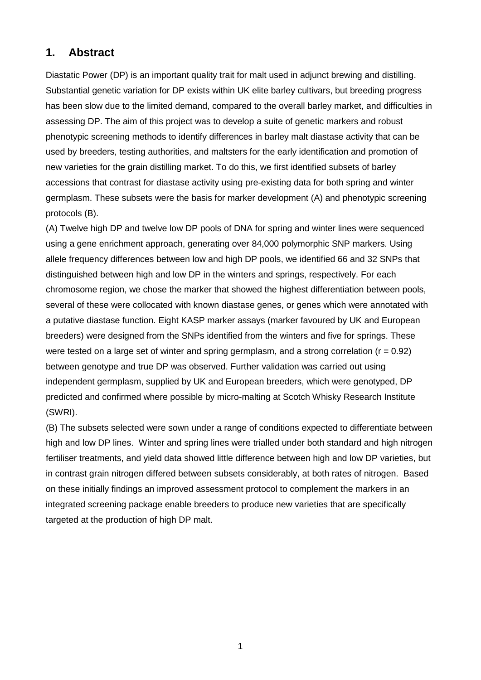### **1. Abstract**

Diastatic Power (DP) is an important quality trait for malt used in adjunct brewing and distilling. Substantial genetic variation for DP exists within UK elite barley cultivars, but breeding progress has been slow due to the limited demand, compared to the overall barley market, and difficulties in assessing DP. The aim of this project was to develop a suite of genetic markers and robust phenotypic screening methods to identify differences in barley malt diastase activity that can be used by breeders, testing authorities, and maltsters for the early identification and promotion of new varieties for the grain distilling market. To do this, we first identified subsets of barley accessions that contrast for diastase activity using pre-existing data for both spring and winter germplasm. These subsets were the basis for marker development (A) and phenotypic screening protocols (B).

(A) Twelve high DP and twelve low DP pools of DNA for spring and winter lines were sequenced using a gene enrichment approach, generating over 84,000 polymorphic SNP markers. Using allele frequency differences between low and high DP pools, we identified 66 and 32 SNPs that distinguished between high and low DP in the winters and springs, respectively. For each chromosome region, we chose the marker that showed the highest differentiation between pools, several of these were collocated with known diastase genes, or genes which were annotated with a putative diastase function. Eight KASP marker assays (marker favoured by UK and European breeders) were designed from the SNPs identified from the winters and five for springs. These were tested on a large set of winter and spring germplasm, and a strong correlation ( $r = 0.92$ ) between genotype and true DP was observed. Further validation was carried out using independent germplasm, supplied by UK and European breeders, which were genotyped, DP predicted and confirmed where possible by micro-malting at Scotch Whisky Research Institute (SWRI).

(B) The subsets selected were sown under a range of conditions expected to differentiate between high and low DP lines. Winter and spring lines were trialled under both standard and high nitrogen fertiliser treatments, and yield data showed little difference between high and low DP varieties, but in contrast grain nitrogen differed between subsets considerably, at both rates of nitrogen. Based on these initially findings an improved assessment protocol to complement the markers in an integrated screening package enable breeders to produce new varieties that are specifically targeted at the production of high DP malt.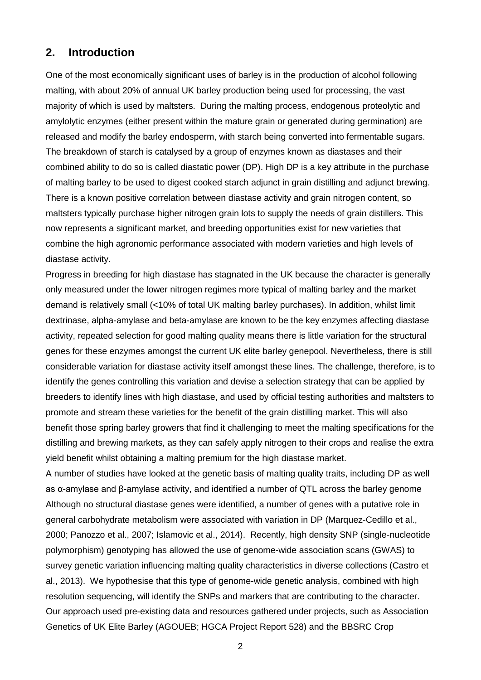### **2. Introduction**

One of the most economically significant uses of barley is in the production of alcohol following malting, with about 20% of annual UK barley production being used for processing, the vast majority of which is used by maltsters. During the malting process, endogenous proteolytic and amylolytic enzymes (either present within the mature grain or generated during germination) are released and modify the barley endosperm, with starch being converted into fermentable sugars. The breakdown of starch is catalysed by a group of enzymes known as diastases and their combined ability to do so is called diastatic power (DP). High DP is a key attribute in the purchase of malting barley to be used to digest cooked starch adjunct in grain distilling and adjunct brewing. There is a known positive correlation between diastase activity and grain nitrogen content, so maltsters typically purchase higher nitrogen grain lots to supply the needs of grain distillers. This now represents a significant market, and breeding opportunities exist for new varieties that combine the high agronomic performance associated with modern varieties and high levels of diastase activity.

Progress in breeding for high diastase has stagnated in the UK because the character is generally only measured under the lower nitrogen regimes more typical of malting barley and the market demand is relatively small (<10% of total UK malting barley purchases). In addition, whilst limit dextrinase, alpha-amylase and beta-amylase are known to be the key enzymes affecting diastase activity, repeated selection for good malting quality means there is little variation for the structural genes for these enzymes amongst the current UK elite barley genepool. Nevertheless, there is still considerable variation for diastase activity itself amongst these lines. The challenge, therefore, is to identify the genes controlling this variation and devise a selection strategy that can be applied by breeders to identify lines with high diastase, and used by official testing authorities and maltsters to promote and stream these varieties for the benefit of the grain distilling market. This will also benefit those spring barley growers that find it challenging to meet the malting specifications for the distilling and brewing markets, as they can safely apply nitrogen to their crops and realise the extra yield benefit whilst obtaining a malting premium for the high diastase market.

A number of studies have looked at the genetic basis of malting quality traits, including DP as well as α-amylase and β-amylase activity, and identified a number of QTL across the barley genome Although no structural diastase genes were identified, a number of genes with a putative role in general carbohydrate metabolism were associated with variation in DP (Marquez-Cedillo et al., 2000; Panozzo et al., 2007; Islamovic et al., 2014). Recently, high density SNP (single-nucleotide polymorphism) genotyping has allowed the use of genome-wide association scans (GWAS) to survey genetic variation influencing malting quality characteristics in diverse collections (Castro et al., 2013). We hypothesise that this type of genome-wide genetic analysis, combined with high resolution sequencing, will identify the SNPs and markers that are contributing to the character. Our approach used pre-existing data and resources gathered under projects, such as Association Genetics of UK Elite Barley (AGOUEB; HGCA Project Report 528) and the BBSRC Crop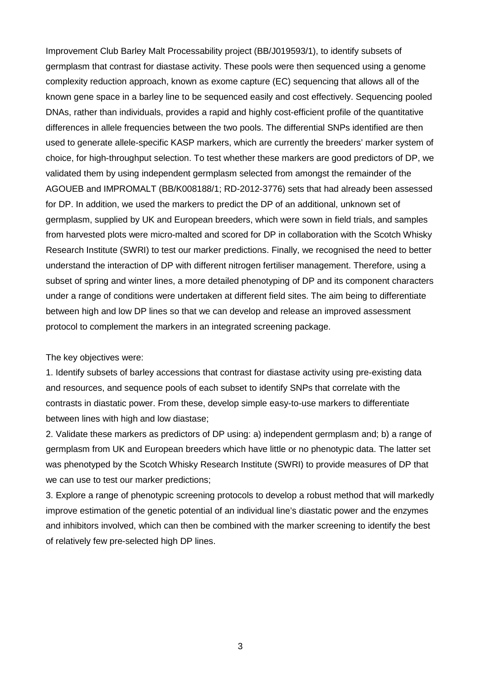Improvement Club Barley Malt Processability project (BB/J019593/1), to identify subsets of germplasm that contrast for diastase activity. These pools were then sequenced using a genome complexity reduction approach, known as exome capture (EC) sequencing that allows all of the known gene space in a barley line to be sequenced easily and cost effectively. Sequencing pooled DNAs, rather than individuals, provides a rapid and highly cost-efficient profile of the quantitative differences in allele frequencies between the two pools. The differential SNPs identified are then used to generate allele-specific KASP markers, which are currently the breeders' marker system of choice, for high-throughput selection. To test whether these markers are good predictors of DP, we validated them by using independent germplasm selected from amongst the remainder of the AGOUEB and IMPROMALT (BB/K008188/1; RD-2012-3776) sets that had already been assessed for DP. In addition, we used the markers to predict the DP of an additional, unknown set of germplasm, supplied by UK and European breeders, which were sown in field trials, and samples from harvested plots were micro-malted and scored for DP in collaboration with the Scotch Whisky Research Institute (SWRI) to test our marker predictions. Finally, we recognised the need to better understand the interaction of DP with different nitrogen fertiliser management. Therefore, using a subset of spring and winter lines, a more detailed phenotyping of DP and its component characters under a range of conditions were undertaken at different field sites. The aim being to differentiate between high and low DP lines so that we can develop and release an improved assessment protocol to complement the markers in an integrated screening package.

#### The key objectives were:

1. Identify subsets of barley accessions that contrast for diastase activity using pre-existing data and resources, and sequence pools of each subset to identify SNPs that correlate with the contrasts in diastatic power. From these, develop simple easy-to-use markers to differentiate between lines with high and low diastase;

2. Validate these markers as predictors of DP using: a) independent germplasm and; b) a range of germplasm from UK and European breeders which have little or no phenotypic data. The latter set was phenotyped by the Scotch Whisky Research Institute (SWRI) to provide measures of DP that we can use to test our marker predictions;

3. Explore a range of phenotypic screening protocols to develop a robust method that will markedly improve estimation of the genetic potential of an individual line's diastatic power and the enzymes and inhibitors involved, which can then be combined with the marker screening to identify the best of relatively few pre-selected high DP lines.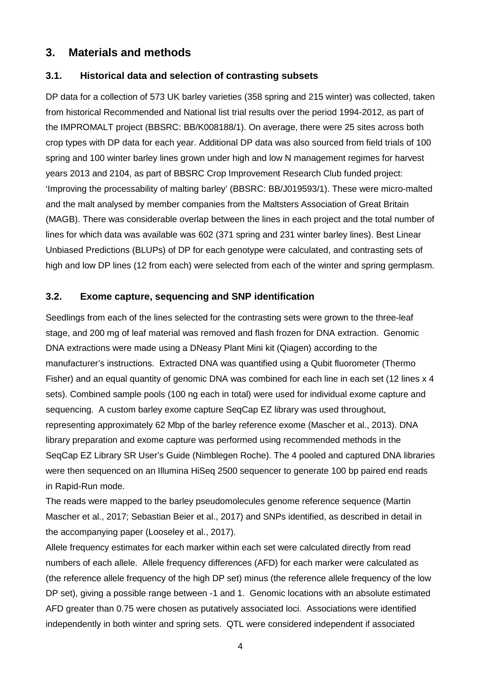## **3. Materials and methods**

### **3.1. Historical data and selection of contrasting subsets**

DP data for a collection of 573 UK barley varieties (358 spring and 215 winter) was collected, taken from historical Recommended and National list trial results over the period 1994-2012, as part of the IMPROMALT project (BBSRC: BB/K008188/1). On average, there were 25 sites across both crop types with DP data for each year. Additional DP data was also sourced from field trials of 100 spring and 100 winter barley lines grown under high and low N management regimes for harvest years 2013 and 2104, as part of BBSRC Crop Improvement Research Club funded project: 'Improving the processability of malting barley' (BBSRC: BB/J019593/1). These were micro-malted and the malt analysed by member companies from the Maltsters Association of Great Britain (MAGB). There was considerable overlap between the lines in each project and the total number of lines for which data was available was 602 (371 spring and 231 winter barley lines). Best Linear Unbiased Predictions (BLUPs) of DP for each genotype were calculated, and contrasting sets of high and low DP lines (12 from each) were selected from each of the winter and spring germplasm.

### **3.2. Exome capture, sequencing and SNP identification**

Seedlings from each of the lines selected for the contrasting sets were grown to the three-leaf stage, and 200 mg of leaf material was removed and flash frozen for DNA extraction. Genomic DNA extractions were made using a DNeasy Plant Mini kit (Qiagen) according to the manufacturer's instructions. Extracted DNA was quantified using a Qubit fluorometer (Thermo Fisher) and an equal quantity of genomic DNA was combined for each line in each set (12 lines x 4 sets). Combined sample pools (100 ng each in total) were used for individual exome capture and sequencing. A custom barley exome capture SeqCap EZ library was used throughout, representing approximately 62 Mbp of the barley reference exome (Mascher et al., 2013). DNA library preparation and exome capture was performed using recommended methods in the SeqCap EZ Library SR User's Guide (Nimblegen Roche). The 4 pooled and captured DNA libraries were then sequenced on an Illumina HiSeq 2500 sequencer to generate 100 bp paired end reads in Rapid-Run mode.

The reads were mapped to the barley pseudomolecules genome reference sequence (Martin Mascher et al., 2017; Sebastian Beier et al., 2017) and SNPs identified, as described in detail in the accompanying paper (Looseley et al., 2017).

Allele frequency estimates for each marker within each set were calculated directly from read numbers of each allele. Allele frequency differences (AFD) for each marker were calculated as (the reference allele frequency of the high DP set) minus (the reference allele frequency of the low DP set), giving a possible range between -1 and 1. Genomic locations with an absolute estimated AFD greater than 0.75 were chosen as putatively associated loci. Associations were identified independently in both winter and spring sets. QTL were considered independent if associated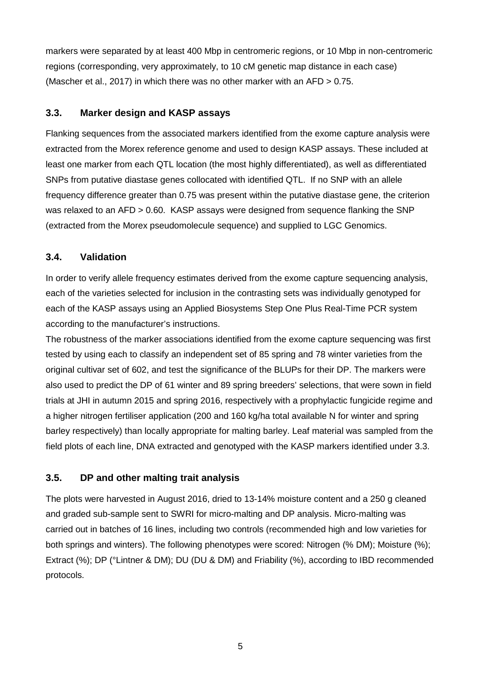markers were separated by at least 400 Mbp in centromeric regions, or 10 Mbp in non-centromeric regions (corresponding, very approximately, to 10 cM genetic map distance in each case) (Mascher et al., 2017) in which there was no other marker with an AFD > 0.75.

### **3.3. Marker design and KASP assays**

Flanking sequences from the associated markers identified from the exome capture analysis were extracted from the Morex reference genome and used to design KASP assays. These included at least one marker from each QTL location (the most highly differentiated), as well as differentiated SNPs from putative diastase genes collocated with identified QTL. If no SNP with an allele frequency difference greater than 0.75 was present within the putative diastase gene, the criterion was relaxed to an AFD > 0.60. KASP assays were designed from sequence flanking the SNP (extracted from the Morex pseudomolecule sequence) and supplied to LGC Genomics.

### **3.4. Validation**

In order to verify allele frequency estimates derived from the exome capture sequencing analysis, each of the varieties selected for inclusion in the contrasting sets was individually genotyped for each of the KASP assays using an Applied Biosystems Step One Plus Real-Time PCR system according to the manufacturer's instructions.

The robustness of the marker associations identified from the exome capture sequencing was first tested by using each to classify an independent set of 85 spring and 78 winter varieties from the original cultivar set of 602, and test the significance of the BLUPs for their DP. The markers were also used to predict the DP of 61 winter and 89 spring breeders' selections, that were sown in field trials at JHI in autumn 2015 and spring 2016, respectively with a prophylactic fungicide regime and a higher nitrogen fertiliser application (200 and 160 kg/ha total available N for winter and spring barley respectively) than locally appropriate for malting barley. Leaf material was sampled from the field plots of each line, DNA extracted and genotyped with the KASP markers identified under 3.3.

### **3.5. DP and other malting trait analysis**

The plots were harvested in August 2016, dried to 13-14% moisture content and a 250 g cleaned and graded sub-sample sent to SWRI for micro-malting and DP analysis. Micro-malting was carried out in batches of 16 lines, including two controls (recommended high and low varieties for both springs and winters). The following phenotypes were scored: Nitrogen (% DM); Moisture (%); Extract (%); DP (°Lintner & DM); DU (DU & DM) and Friability (%), according to IBD recommended protocols.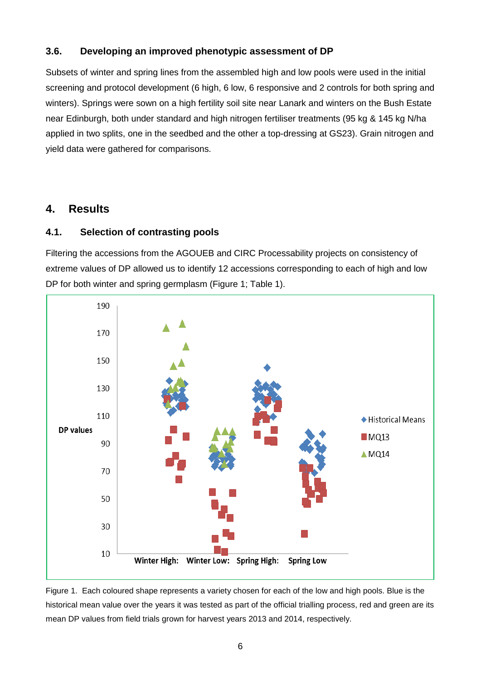### **3.6. Developing an improved phenotypic assessment of DP**

Subsets of winter and spring lines from the assembled high and low pools were used in the initial screening and protocol development (6 high, 6 low, 6 responsive and 2 controls for both spring and winters). Springs were sown on a high fertility soil site near Lanark and winters on the Bush Estate near Edinburgh, both under standard and high nitrogen fertiliser treatments (95 kg & 145 kg N/ha applied in two splits, one in the seedbed and the other a top-dressing at GS23). Grain nitrogen and yield data were gathered for comparisons.

## **4. Results**

### **4.1. Selection of contrasting pools**

Filtering the accessions from the AGOUEB and CIRC Processability projects on consistency of extreme values of DP allowed us to identify 12 accessions corresponding to each of high and low DP for both winter and spring germplasm (Figure 1; Table 1).



Figure 1. Each coloured shape represents a variety chosen for each of the low and high pools. Blue is the historical mean value over the years it was tested as part of the official trialling process, red and green are its mean DP values from field trials grown for harvest years 2013 and 2014, respectively.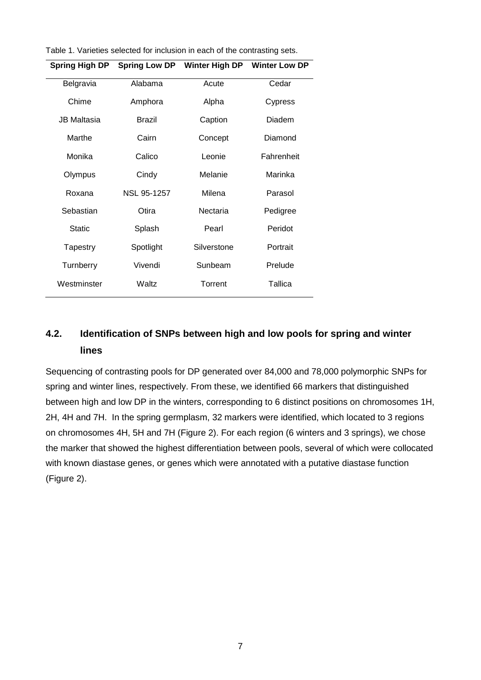| Table 1. Varieties selected for inclusion in each of the contrasting sets. |  |  |  |  |  |
|----------------------------------------------------------------------------|--|--|--|--|--|
|----------------------------------------------------------------------------|--|--|--|--|--|

| Spring High DP |                    | Spring Low DP Winter High DP | <b>Winter Low DP</b> |  |  |
|----------------|--------------------|------------------------------|----------------------|--|--|
| Belgravia      | Alabama            | Acute                        | Cedar                |  |  |
| Chime          | Amphora            | Alpha                        | Cypress              |  |  |
| JB Maltasia    | Brazil             | Caption                      | Diadem               |  |  |
| Marthe         | Cairn              | Concept                      | Diamond              |  |  |
| Monika         | Calico             | Leonie                       | Fahrenheit           |  |  |
| Olympus        | Cindy              | Melanie                      | Marinka              |  |  |
| Roxana         | <b>NSL 95-1257</b> | Milena                       | Parasol              |  |  |
| Sebastian      | Otira              | Nectaria                     | Pedigree             |  |  |
| Static         | Splash             | Pearl                        | Peridot              |  |  |
| Tapestry       | Spotlight          | Silverstone                  | Portrait             |  |  |
| Turnberry      | Vivendi            | Sunbeam                      | Prelude              |  |  |
| Westminster    | Waltz              | Torrent                      | Tallica              |  |  |

# **4.2. Identification of SNPs between high and low pools for spring and winter lines**

Sequencing of contrasting pools for DP generated over 84,000 and 78,000 polymorphic SNPs for spring and winter lines, respectively. From these, we identified 66 markers that distinguished between high and low DP in the winters, corresponding to 6 distinct positions on chromosomes 1H, 2H, 4H and 7H. In the spring germplasm, 32 markers were identified, which located to 3 regions on chromosomes 4H, 5H and 7H (Figure 2). For each region (6 winters and 3 springs), we chose the marker that showed the highest differentiation between pools, several of which were collocated with known diastase genes, or genes which were annotated with a putative diastase function (Figure 2).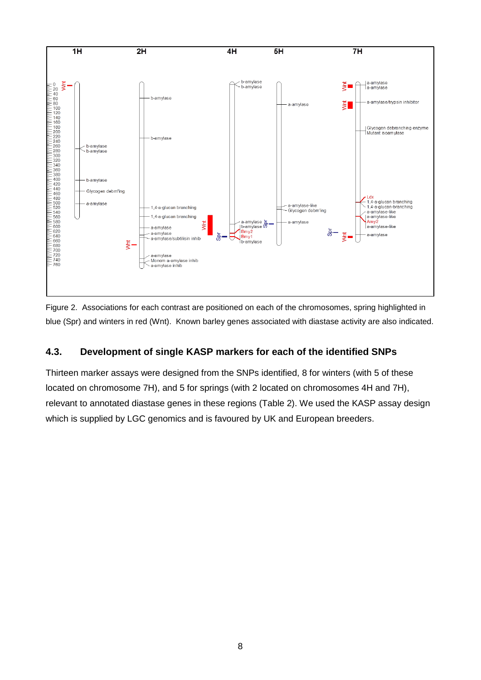

Figure 2. Associations for each contrast are positioned on each of the chromosomes, spring highlighted in blue (Spr) and winters in red (Wnt). Known barley genes associated with diastase activity are also indicated.

### **4.3. Development of single KASP markers for each of the identified SNPs**

Thirteen marker assays were designed from the SNPs identified, 8 for winters (with 5 of these located on chromosome 7H), and 5 for springs (with 2 located on chromosomes 4H and 7H), relevant to annotated diastase genes in these regions (Table 2). We used the KASP assay design which is supplied by LGC genomics and is favoured by UK and European breeders.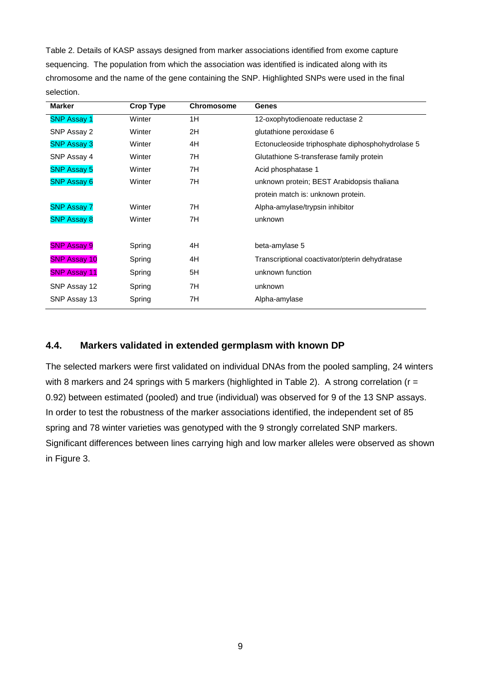Table 2. Details of KASP assays designed from marker associations identified from exome capture sequencing. The population from which the association was identified is indicated along with its chromosome and the name of the gene containing the SNP. Highlighted SNPs were used in the final selection.

| <b>Crop Type</b> | <b>Chromosome</b> | <b>Genes</b>                                     |  |  |
|------------------|-------------------|--------------------------------------------------|--|--|
| Winter           | 1H                | 12-oxophytodienoate reductase 2                  |  |  |
| Winter           | 2H                | glutathione peroxidase 6                         |  |  |
| Winter           | 4H                | Ectonucleoside triphosphate diphosphohydrolase 5 |  |  |
| Winter           | 7H                | Glutathione S-transferase family protein         |  |  |
| Winter           | 7H                | Acid phosphatase 1                               |  |  |
| Winter           | 7H                | unknown protein; BEST Arabidopsis thaliana       |  |  |
|                  |                   | protein match is: unknown protein.               |  |  |
| Winter           | 7H                | Alpha-amylase/trypsin inhibitor                  |  |  |
| Winter           | 7H                | unknown                                          |  |  |
|                  |                   |                                                  |  |  |
| Spring           | 4H                | beta-amylase 5                                   |  |  |
| Spring           | 4H                | Transcriptional coactivator/pterin dehydratase   |  |  |
| Spring           | 5H                | unknown function                                 |  |  |
| Spring           | 7H                | unknown                                          |  |  |
| Spring           | 7H                | Alpha-amylase                                    |  |  |
|                  |                   |                                                  |  |  |

### **4.4. Markers validated in extended germplasm with known DP**

The selected markers were first validated on individual DNAs from the pooled sampling, 24 winters with 8 markers and 24 springs with 5 markers (highlighted in Table 2). A strong correlation ( $r =$ 0.92) between estimated (pooled) and true (individual) was observed for 9 of the 13 SNP assays. In order to test the robustness of the marker associations identified, the independent set of 85 spring and 78 winter varieties was genotyped with the 9 strongly correlated SNP markers. Significant differences between lines carrying high and low marker alleles were observed as shown in Figure 3.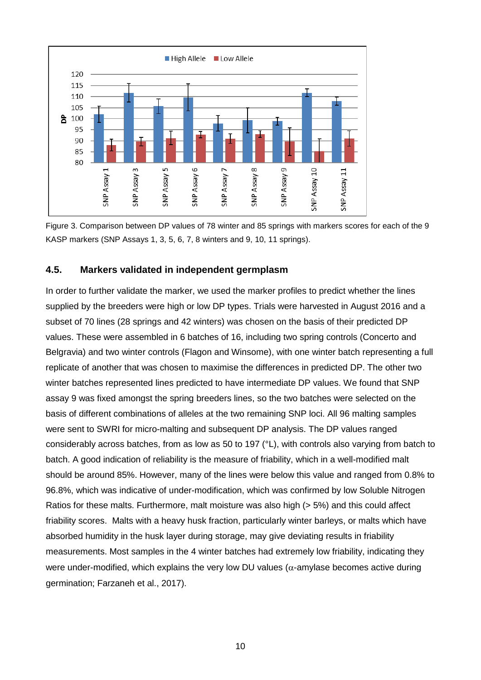

Figure 3. Comparison between DP values of 78 winter and 85 springs with markers scores for each of the 9 KASP markers (SNP Assays 1, 3, 5, 6, 7, 8 winters and 9, 10, 11 springs).

#### **4.5. Markers validated in independent germplasm**

In order to further validate the marker, we used the marker profiles to predict whether the lines supplied by the breeders were high or low DP types. Trials were harvested in August 2016 and a subset of 70 lines (28 springs and 42 winters) was chosen on the basis of their predicted DP values. These were assembled in 6 batches of 16, including two spring controls (Concerto and Belgravia) and two winter controls (Flagon and Winsome), with one winter batch representing a full replicate of another that was chosen to maximise the differences in predicted DP. The other two winter batches represented lines predicted to have intermediate DP values. We found that SNP assay 9 was fixed amongst the spring breeders lines, so the two batches were selected on the basis of different combinations of alleles at the two remaining SNP loci. All 96 malting samples were sent to SWRI for micro-malting and subsequent DP analysis. The DP values ranged considerably across batches, from as low as 50 to 197 (°L), with controls also varying from batch to batch. A good indication of reliability is the measure of friability, which in a well-modified malt should be around 85%. However, many of the lines were below this value and ranged from 0.8% to 96.8%, which was indicative of under-modification, which was confirmed by low Soluble Nitrogen Ratios for these malts. Furthermore, malt moisture was also high (> 5%) and this could affect friability scores. Malts with a heavy husk fraction, particularly winter barleys, or malts which have absorbed humidity in the husk layer during storage, may give deviating results in friability measurements. Most samples in the 4 winter batches had extremely low friability, indicating they were under-modified, which explains the very low DU values ( $\alpha$ -amylase becomes active during germination; Farzaneh et al., 2017).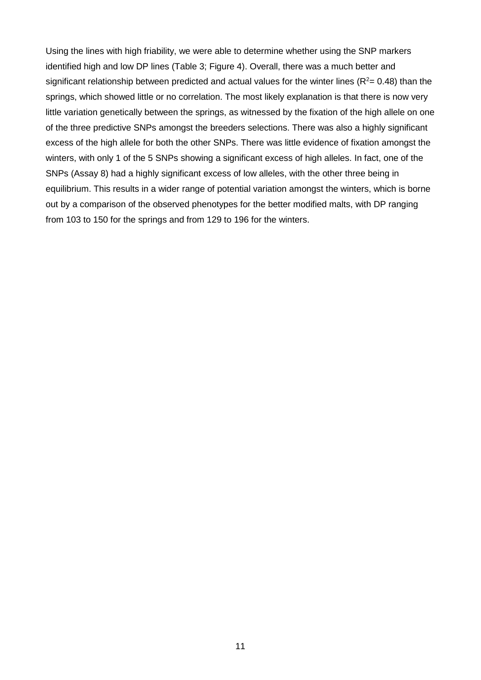Using the lines with high friability, we were able to determine whether using the SNP markers identified high and low DP lines (Table 3; Figure 4). Overall, there was a much better and significant relationship between predicted and actual values for the winter lines ( $R^2$  = 0.48) than the springs, which showed little or no correlation. The most likely explanation is that there is now very little variation genetically between the springs, as witnessed by the fixation of the high allele on one of the three predictive SNPs amongst the breeders selections. There was also a highly significant excess of the high allele for both the other SNPs. There was little evidence of fixation amongst the winters, with only 1 of the 5 SNPs showing a significant excess of high alleles. In fact, one of the SNPs (Assay 8) had a highly significant excess of low alleles, with the other three being in equilibrium. This results in a wider range of potential variation amongst the winters, which is borne out by a comparison of the observed phenotypes for the better modified malts, with DP ranging from 103 to 150 for the springs and from 129 to 196 for the winters.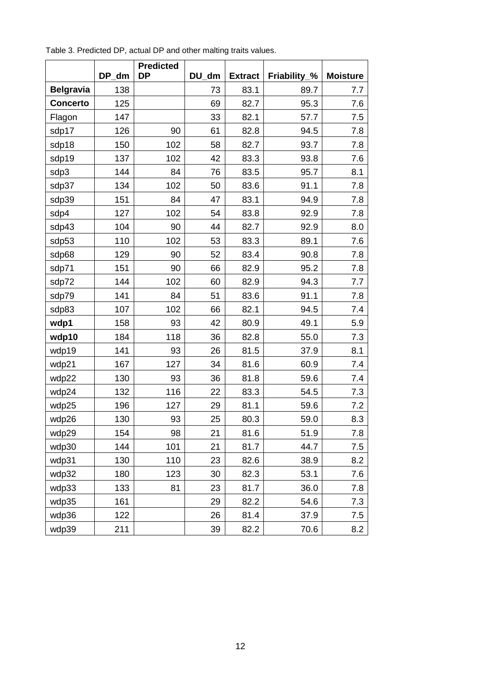|                  |       | <b>Predicted</b> |       |                |              |                 |
|------------------|-------|------------------|-------|----------------|--------------|-----------------|
|                  | DP_dm | <b>DP</b>        | DU dm | <b>Extract</b> | Friability_% | <b>Moisture</b> |
| <b>Belgravia</b> | 138   |                  | 73    | 83.1           | 89.7         | 7.7             |
| <b>Concerto</b>  | 125   |                  | 69    | 82.7           | 95.3         | 7.6             |
| Flagon           | 147   |                  | 33    | 82.1           | 57.7         | 7.5             |
| sdp17            | 126   | 90               | 61    | 82.8           | 94.5         | 7.8             |
| sdp18            | 150   | 102              | 58    | 82.7           | 93.7         | 7.8             |
| sdp19            | 137   | 102              | 42    | 83.3           | 93.8         | 7.6             |
| sdp3             | 144   | 84               | 76    | 83.5           | 95.7         | 8.1             |
| sdp37            | 134   | 102              | 50    | 83.6           | 91.1         | 7.8             |
| sdp39            | 151   | 84               | 47    | 83.1           | 94.9         | 7.8             |
| sdp4             | 127   | 102              | 54    | 83.8           | 92.9         | 7.8             |
| sdp43            | 104   | 90               | 44    | 82.7           | 92.9         | 8.0             |
| sdp53            | 110   | 102              | 53    | 83.3           | 89.1         | 7.6             |
| sdp68            | 129   | 90               | 52    | 83.4           | 90.8         | 7.8             |
| sdp71            | 151   | 90               | 66    | 82.9           | 95.2         | 7.8             |
| sdp72            | 144   | 102              | 60    | 82.9           | 94.3         | 7.7             |
| sdp79            | 141   | 84               | 51    | 83.6           | 91.1         | 7.8             |
| sdp83            | 107   | 102              | 66    | 82.1           | 94.5         | 7.4             |
| wdp1             | 158   | 93               | 42    | 80.9           | 49.1         | 5.9             |
| wdp10            | 184   | 118              | 36    | 82.8           | 55.0         | 7.3             |
| wdp19            | 141   | 93               | 26    | 81.5           | 37.9         | 8.1             |
| wdp21            | 167   | 127              | 34    | 81.6           | 60.9         | 7.4             |
| wdp22            | 130   | 93               | 36    | 81.8           | 59.6         | 7.4             |
| wdp24            | 132   | 116              | 22    | 83.3           | 54.5         | 7.3             |
| wdp25            | 196   | 127              | 29    | 81.1           | 59.6         | 7.2             |
| wdp26            | 130   | 93               | 25    | 80.3           | 59.0         | 8.3             |
| wdp29            | 154   | 98               | 21    | 81.6           | 51.9         | 7.8             |
| wdp30            | 144   | 101              | 21    | 81.7           | 44.7         | 7.5             |
| wdp31            | 130   | 110              | 23    | 82.6           | 38.9         | 8.2             |
| wdp32            | 180   | 123              | 30    | 82.3           | 53.1         | 7.6             |
| wdp33            | 133   | 81               | 23    | 81.7           | 36.0         | 7.8             |
| wdp35            | 161   |                  | 29    | 82.2           | 54.6         | 7.3             |
| wdp36            | 122   |                  | 26    | 81.4           | 37.9         | 7.5             |
| wdp39            | 211   |                  | 39    | 82.2           | 70.6         | 8.2             |

Table 3. Predicted DP, actual DP and other malting traits values.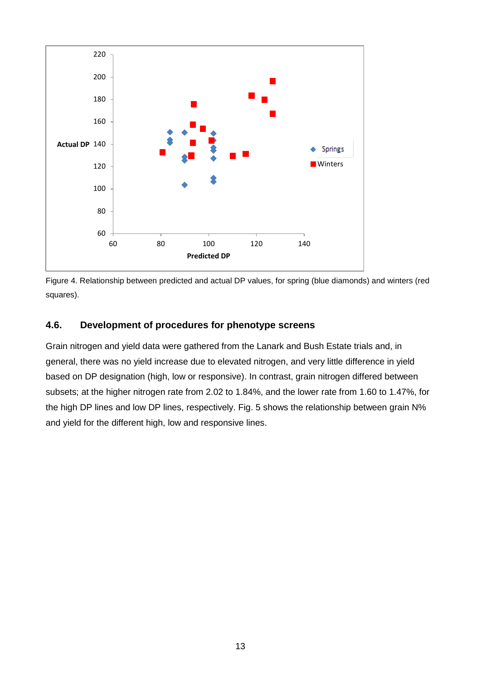



### **4.6. Development of procedures for phenotype screens**

Grain nitrogen and yield data were gathered from the Lanark and Bush Estate trials and, in general, there was no yield increase due to elevated nitrogen, and very little difference in yield based on DP designation (high, low or responsive). In contrast, grain nitrogen differed between subsets; at the higher nitrogen rate from 2.02 to 1.84%, and the lower rate from 1.60 to 1.47%, for the high DP lines and low DP lines, respectively. Fig. 5 shows the relationship between grain N% and yield for the different high, low and responsive lines.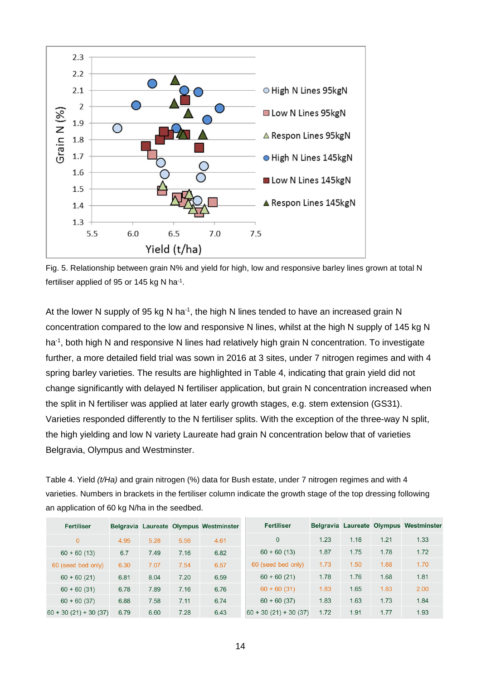

Fig. 5. Relationship between grain N% and yield for high, low and responsive barley lines grown at total N fertiliser applied of 95 or 145 kg N ha-1.

At the lower N supply of 95 kg N ha<sup>-1</sup>, the high N lines tended to have an increased grain N concentration compared to the low and responsive N lines, whilst at the high N supply of 145 kg N ha<sup>-1</sup>, both high N and responsive N lines had relatively high grain N concentration. To investigate further, a more detailed field trial was sown in 2016 at 3 sites, under 7 nitrogen regimes and with 4 spring barley varieties. The results are highlighted in Table 4, indicating that grain yield did not change significantly with delayed N fertiliser application, but grain N concentration increased when the split in N fertiliser was applied at later early growth stages, e.g. stem extension (GS31). Varieties responded differently to the N fertiliser splits. With the exception of the three-way N split, the high yielding and low N variety Laureate had grain N concentration below that of varieties Belgravia, Olympus and Westminster.

Table 4. Yield *(t/Ha)* and grain nitrogen (%) data for Bush estate, under 7 nitrogen regimes and with 4 varieties. Numbers in brackets in the fertiliser column indicate the growth stage of the top dressing following an application of 60 kg N/ha in the seedbed.

| <b>Fertiliser</b>      |      |      |      | Belgravia Laureate Olympus Westminster | <b>Fertiliser</b>      |      |      |      | Belgravia Laureate Olympus Westminster |
|------------------------|------|------|------|----------------------------------------|------------------------|------|------|------|----------------------------------------|
| $\overline{0}$         | 4.95 | 5.28 | 5.56 | 4.61                                   | $\Omega$               | 1.23 | 1.16 | 1.21 | 1.33                                   |
| $60 + 60(13)$          | 6.7  | 7.49 | 7.16 | 6.82                                   | $60 + 60(13)$          | 1.87 | 1.75 | 1.78 | 1.72                                   |
| 60 (seed bed only)     | 6.30 | 7.07 | 7.54 | 6.57                                   | 60 (seed bed only)     | 1.73 | 1.50 | 1.68 | 1.70                                   |
| $60 + 60(21)$          | 6.81 | 8.04 | 7.20 | 6.59                                   | $60 + 60(21)$          | 1.78 | 1.76 | 1.68 | 1.81                                   |
| $60 + 60(31)$          | 6.78 | 7.89 | 7.16 | 6.76                                   | $60 + 60(31)$          | 1.83 | 1.65 | 1.83 | 2.00                                   |
| $60 + 60(37)$          | 6.88 | 7.58 | 7.11 | 6.74                                   | $60 + 60(37)$          | 1.83 | 1.63 | 1.73 | 1.84                                   |
| $60 + 30(21) + 30(37)$ | 6.79 | 6.60 | 7.28 | 6.43                                   | $60 + 30(21) + 30(37)$ | 1.72 | 1.91 | 1.77 | 1.93                                   |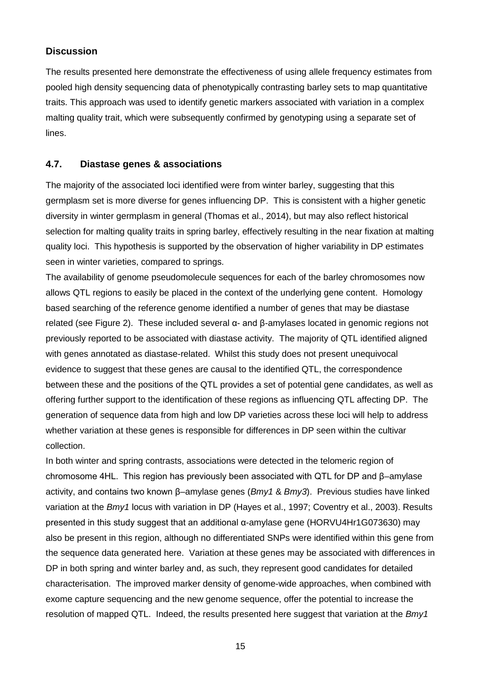### **Discussion**

The results presented here demonstrate the effectiveness of using allele frequency estimates from pooled high density sequencing data of phenotypically contrasting barley sets to map quantitative traits. This approach was used to identify genetic markers associated with variation in a complex malting quality trait, which were subsequently confirmed by genotyping using a separate set of lines.

### **4.7. Diastase genes & associations**

The majority of the associated loci identified were from winter barley, suggesting that this germplasm set is more diverse for genes influencing DP. This is consistent with a higher genetic diversity in winter germplasm in general (Thomas et al., 2014), but may also reflect historical selection for malting quality traits in spring barley, effectively resulting in the near fixation at malting quality loci. This hypothesis is supported by the observation of higher variability in DP estimates seen in winter varieties, compared to springs.

The availability of genome pseudomolecule sequences for each of the barley chromosomes now allows QTL regions to easily be placed in the context of the underlying gene content. Homology based searching of the reference genome identified a number of genes that may be diastase related (see Figure 2). These included several α- and β-amylases located in genomic regions not previously reported to be associated with diastase activity. The majority of QTL identified aligned with genes annotated as diastase-related. Whilst this study does not present unequivocal evidence to suggest that these genes are causal to the identified QTL, the correspondence between these and the positions of the QTL provides a set of potential gene candidates, as well as offering further support to the identification of these regions as influencing QTL affecting DP. The generation of sequence data from high and low DP varieties across these loci will help to address whether variation at these genes is responsible for differences in DP seen within the cultivar collection.

In both winter and spring contrasts, associations were detected in the telomeric region of chromosome 4HL. This region has previously been associated with QTL for DP and β–amylase activity, and contains two known β–amylase genes (*Bmy1* & *Bmy3*). Previous studies have linked variation at the *Bmy1* locus with variation in DP (Hayes et al., 1997; Coventry et al., 2003). Results presented in this study suggest that an additional α-amylase gene (HORVU4Hr1G073630) may also be present in this region, although no differentiated SNPs were identified within this gene from the sequence data generated here. Variation at these genes may be associated with differences in DP in both spring and winter barley and, as such, they represent good candidates for detailed characterisation. The improved marker density of genome-wide approaches, when combined with exome capture sequencing and the new genome sequence, offer the potential to increase the resolution of mapped QTL. Indeed, the results presented here suggest that variation at the *Bmy1*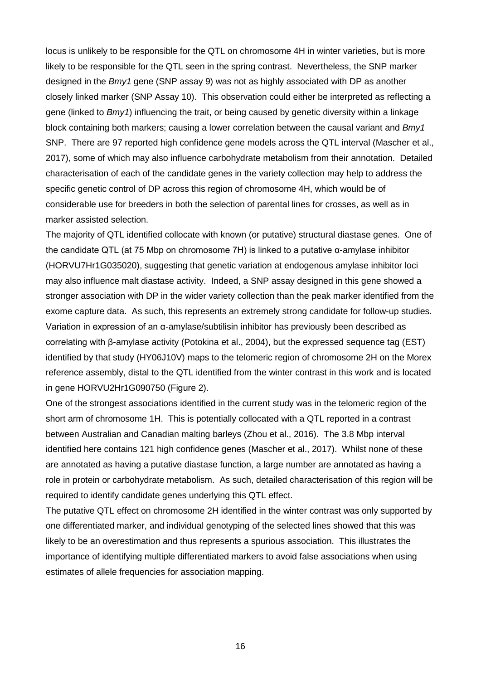locus is unlikely to be responsible for the QTL on chromosome 4H in winter varieties, but is more likely to be responsible for the QTL seen in the spring contrast. Nevertheless, the SNP marker designed in the *Bmy1* gene (SNP assay 9) was not as highly associated with DP as another closely linked marker (SNP Assay 10). This observation could either be interpreted as reflecting a gene (linked to *Bmy1*) influencing the trait, or being caused by genetic diversity within a linkage block containing both markers; causing a lower correlation between the causal variant and *Bmy1* SNP. There are 97 reported high confidence gene models across the QTL interval (Mascher et al., 2017), some of which may also influence carbohydrate metabolism from their annotation. Detailed characterisation of each of the candidate genes in the variety collection may help to address the specific genetic control of DP across this region of chromosome 4H, which would be of considerable use for breeders in both the selection of parental lines for crosses, as well as in marker assisted selection.

The majority of QTL identified collocate with known (or putative) structural diastase genes. One of the candidate QTL (at 75 Mbp on chromosome 7H) is linked to a putative α-amylase inhibitor (HORVU7Hr1G035020), suggesting that genetic variation at endogenous amylase inhibitor loci may also influence malt diastase activity. Indeed, a SNP assay designed in this gene showed a stronger association with DP in the wider variety collection than the peak marker identified from the exome capture data. As such, this represents an extremely strong candidate for follow-up studies. Variation in expression of an α-amylase/subtilisin inhibitor has previously been described as correlating with β-amylase activity (Potokina et al., 2004), but the expressed sequence tag (EST) identified by that study (HY06J10V) maps to the telomeric region of chromosome 2H on the Morex reference assembly, distal to the QTL identified from the winter contrast in this work and is located in gene HORVU2Hr1G090750 (Figure 2).

One of the strongest associations identified in the current study was in the telomeric region of the short arm of chromosome 1H. This is potentially collocated with a QTL reported in a contrast between Australian and Canadian malting barleys (Zhou et al., 2016). The 3.8 Mbp interval identified here contains 121 high confidence genes (Mascher et al., 2017). Whilst none of these are annotated as having a putative diastase function, a large number are annotated as having a role in protein or carbohydrate metabolism. As such, detailed characterisation of this region will be required to identify candidate genes underlying this QTL effect.

The putative QTL effect on chromosome 2H identified in the winter contrast was only supported by one differentiated marker, and individual genotyping of the selected lines showed that this was likely to be an overestimation and thus represents a spurious association. This illustrates the importance of identifying multiple differentiated markers to avoid false associations when using estimates of allele frequencies for association mapping.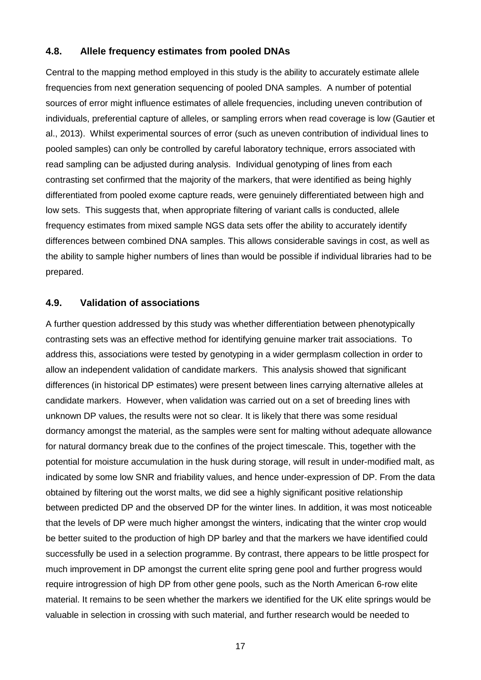#### **4.8. Allele frequency estimates from pooled DNAs**

Central to the mapping method employed in this study is the ability to accurately estimate allele frequencies from next generation sequencing of pooled DNA samples. A number of potential sources of error might influence estimates of allele frequencies, including uneven contribution of individuals, preferential capture of alleles, or sampling errors when read coverage is low (Gautier et al., 2013). Whilst experimental sources of error (such as uneven contribution of individual lines to pooled samples) can only be controlled by careful laboratory technique, errors associated with read sampling can be adjusted during analysis. Individual genotyping of lines from each contrasting set confirmed that the majority of the markers, that were identified as being highly differentiated from pooled exome capture reads, were genuinely differentiated between high and low sets. This suggests that, when appropriate filtering of variant calls is conducted, allele frequency estimates from mixed sample NGS data sets offer the ability to accurately identify differences between combined DNA samples. This allows considerable savings in cost, as well as the ability to sample higher numbers of lines than would be possible if individual libraries had to be prepared.

#### **4.9. Validation of associations**

A further question addressed by this study was whether differentiation between phenotypically contrasting sets was an effective method for identifying genuine marker trait associations. To address this, associations were tested by genotyping in a wider germplasm collection in order to allow an independent validation of candidate markers. This analysis showed that significant differences (in historical DP estimates) were present between lines carrying alternative alleles at candidate markers. However, when validation was carried out on a set of breeding lines with unknown DP values, the results were not so clear. It is likely that there was some residual dormancy amongst the material, as the samples were sent for malting without adequate allowance for natural dormancy break due to the confines of the project timescale. This, together with the potential for moisture accumulation in the husk during storage, will result in under-modified malt, as indicated by some low SNR and friability values, and hence under-expression of DP. From the data obtained by filtering out the worst malts, we did see a highly significant positive relationship between predicted DP and the observed DP for the winter lines. In addition, it was most noticeable that the levels of DP were much higher amongst the winters, indicating that the winter crop would be better suited to the production of high DP barley and that the markers we have identified could successfully be used in a selection programme. By contrast, there appears to be little prospect for much improvement in DP amongst the current elite spring gene pool and further progress would require introgression of high DP from other gene pools, such as the North American 6-row elite material. It remains to be seen whether the markers we identified for the UK elite springs would be valuable in selection in crossing with such material, and further research would be needed to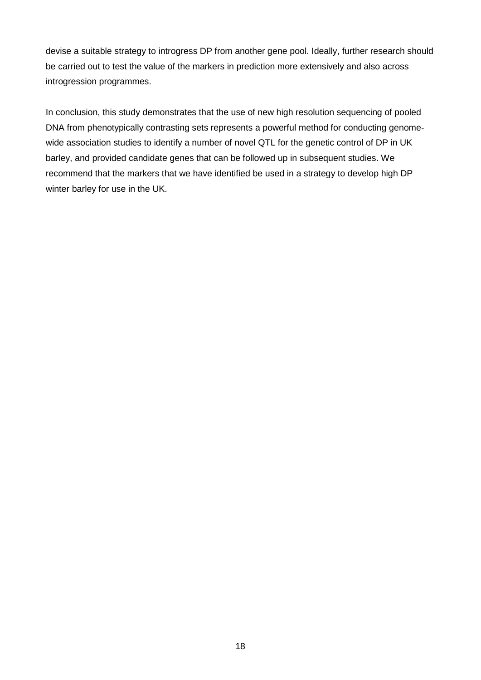devise a suitable strategy to introgress DP from another gene pool. Ideally, further research should be carried out to test the value of the markers in prediction more extensively and also across introgression programmes.

In conclusion, this study demonstrates that the use of new high resolution sequencing of pooled DNA from phenotypically contrasting sets represents a powerful method for conducting genomewide association studies to identify a number of novel QTL for the genetic control of DP in UK barley, and provided candidate genes that can be followed up in subsequent studies. We recommend that the markers that we have identified be used in a strategy to develop high DP winter barley for use in the UK.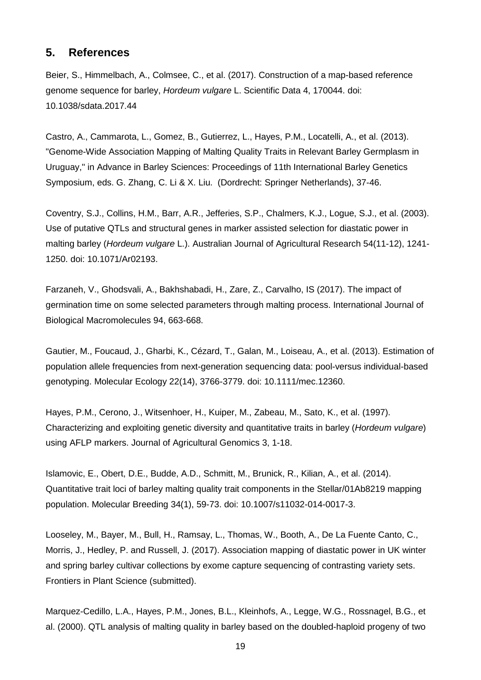## **5. References**

Beier, S., Himmelbach, A., Colmsee, C., et al. (2017). Construction of a map-based reference genome sequence for barley, *Hordeum vulgare* L. Scientific Data 4, 170044. doi: 10.1038/sdata.2017.44

Castro, A., Cammarota, L., Gomez, B., Gutierrez, L., Hayes, P.M., Locatelli, A., et al. (2013). "Genome-Wide Association Mapping of Malting Quality Traits in Relevant Barley Germplasm in Uruguay," in Advance in Barley Sciences: Proceedings of 11th International Barley Genetics Symposium, eds. G. Zhang, C. Li & X. Liu. (Dordrecht: Springer Netherlands), 37-46.

Coventry, S.J., Collins, H.M., Barr, A.R., Jefferies, S.P., Chalmers, K.J., Logue, S.J., et al. (2003). Use of putative QTLs and structural genes in marker assisted selection for diastatic power in malting barley (*Hordeum vulgare* L.). Australian Journal of Agricultural Research 54(11-12), 1241- 1250. doi: 10.1071/Ar02193.

Farzaneh, V., Ghodsvali, A., Bakhshabadi, H., Zare, Z., Carvalho, IS (2017). The impact of germination time on some selected parameters through malting process. International Journal of Biological Macromolecules 94, 663-668.

Gautier, M., Foucaud, J., Gharbi, K., Cézard, T., Galan, M., Loiseau, A., et al. (2013). Estimation of population allele frequencies from next-generation sequencing data: pool-versus individual-based genotyping. Molecular Ecology 22(14), 3766-3779. doi: 10.1111/mec.12360.

Hayes, P.M., Cerono, J., Witsenhoer, H., Kuiper, M., Zabeau, M., Sato, K., et al. (1997). Characterizing and exploiting genetic diversity and quantitative traits in barley (*Hordeum vulgare*) using AFLP markers. Journal of Agricultural Genomics 3, 1-18.

Islamovic, E., Obert, D.E., Budde, A.D., Schmitt, M., Brunick, R., Kilian, A., et al. (2014). Quantitative trait loci of barley malting quality trait components in the Stellar/01Ab8219 mapping population. Molecular Breeding 34(1), 59-73. doi: 10.1007/s11032-014-0017-3.

Looseley, M., Bayer, M., Bull, H., Ramsay, L., Thomas, W., Booth, A., De La Fuente Canto, C., Morris, J., Hedley, P. and Russell, J. (2017). Association mapping of diastatic power in UK winter and spring barley cultivar collections by exome capture sequencing of contrasting variety sets. Frontiers in Plant Science (submitted).

Marquez-Cedillo, L.A., Hayes, P.M., Jones, B.L., Kleinhofs, A., Legge, W.G., Rossnagel, B.G., et al. (2000). QTL analysis of malting quality in barley based on the doubled-haploid progeny of two